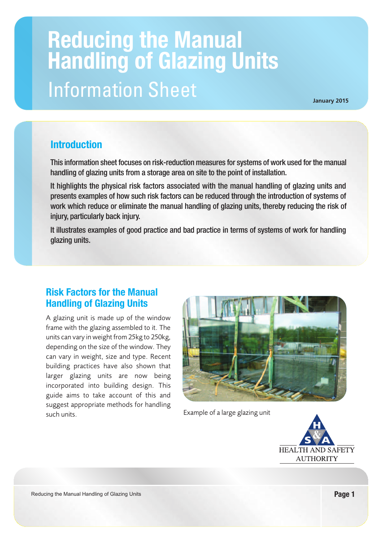# **Reducing the Manual Handling of Glazing Units**  Information Sheet

**January 2015**

# **Introduction**

This information sheet focuses on risk-reduction measures for systems of work used for the manual handling of glazing units from a storage area on site to the point of installation.

It highlights the physical risk factors associated with the manual handling of glazing units and presents examples of how such risk factors can be reduced through the introduction of systems of work which reduce or eliminate the manual handling of glazing units, thereby reducing the risk of injury, particularly back injury.

It illustrates examples of good practice and bad practice in terms of systems of work for handling glazing units.

## **Risk Factors for the Manual Handling of Glazing Units**

A glazing unit is made up of the window frame with the glazing assembled to it. The units can vary in weight from 25kg to 250kg, depending on the size of the window. They can vary in weight, size and type. Recent building practices have also shown that larger glazing units are now being incorporated into building design. This guide aims to take account of this and suggest appropriate methods for handling such units. Example of a large glazing unit



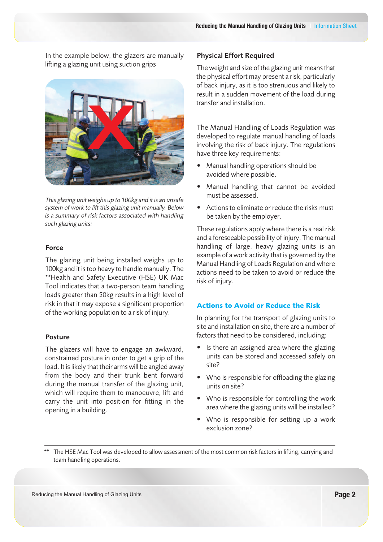In the example below, the glazers are manually lifting a glazing unit using suction grips



*This glazing unit weighs up to 100kg and it is an unsafe system of work to lift this glazing unit manually. Below is a summary of risk factors associated with handling such glazing units:*

#### Force

The glazing unit being installed weighs up to 100kg and it is too heavy to handle manually. The \*\*Health and Safety Executive (HSE) UK Mac Tool indicates that a two-person team handling loads greater than 50kg results in a high level of risk in that it may expose a significant proportion of the working population to a risk of injury.

#### Posture

The glazers will have to engage an awkward, constrained posture in order to get a grip of the load. It is likely that their arms will be angled away from the body and their trunk bent forward during the manual transfer of the glazing unit, which will require them to manoeuvre, lift and carry the unit into position for fitting in the opening in a building.

#### Physical Effort Required

The weight and size of the glazing unit means that the physical effort may present a risk, particularly of back injury, as it is too strenuous and likely to result in a sudden movement of the load during transfer and installation.

The Manual Handling of Loads Regulation was developed to regulate manual handling of loads involving the risk of back injury. The regulations have three key requirements:

- Manual handling operations should be avoided where possible.
- Manual handling that cannot be avoided must be assessed.
- Actions to eliminate or reduce the risks must be taken by the employer.

These regulations apply where there is a real risk and a foreseeable possibility of injury. The manual handling of large, heavy glazing units is an example of a work activity that is governed by the Manual Handling of Loads Regulation and where actions need to be taken to avoid or reduce the risk of injury.

#### Actions to Avoid or Reduce the Risk

In planning for the transport of glazing units to site and installation on site, there are a number of factors that need to be considered, including:

- Is there an assigned area where the glazing units can be stored and accessed safely on site?
- Who is responsible for offloading the glazing units on site?
- Who is responsible for controlling the work area where the glazing units will be installed?
- Who is responsible for setting up a work exclusion zone?
- The HSE Mac Tool was developed to allow assessment of the most common risk factors in lifting, carrying and team handling operations.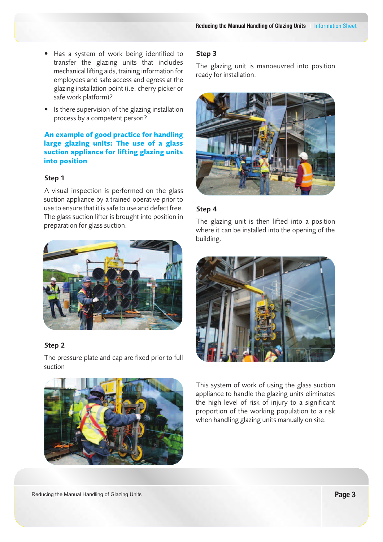- Has a system of work being identified to transfer the glazing units that includes mechanical lifting aids, training information for employees and safe access and egress at the glazing installation point (i.e. cherry picker or safe work platform)?
- Is there supervision of the glazing installation process by a competent person?

#### An example of good practice for handling large glazing units: The use of a glass suction appliance for lifting glazing units into position

#### Step 1

A visual inspection is performed on the glass suction appliance by a trained operative prior to use to ensure that it is safe to use and defect free. The glass suction lifter is brought into position in preparation for glass suction.



#### Step 2

The pressure plate and cap are fixed prior to full suction



#### Step 3

The glazing unit is manoeuvred into position ready for installation.



#### Step 4

The glazing unit is then lifted into a position where it can be installed into the opening of the building.



This system of work of using the glass suction appliance to handle the glazing units eliminates the high level of risk of injury to a significant proportion of the working population to a risk when handling glazing units manually on site.